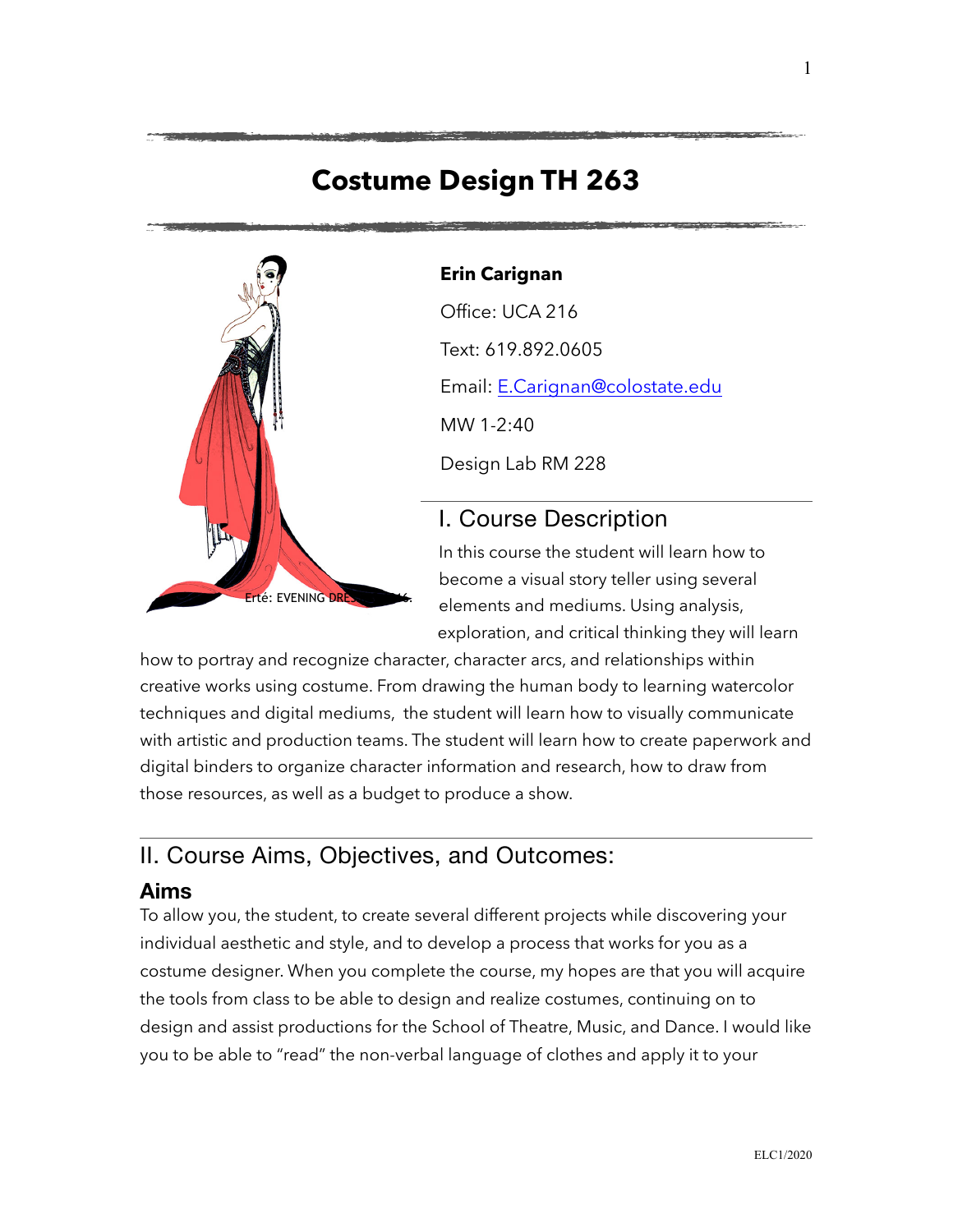# **Costume Design TH 263**



#### **Erin Carignan**

Office: UCA 216 Text: 619.892.0605 Email: [E.Carignan@colostate.edu](mailto:E.Carignan@colostate.edu) MW 1-2:40

Design Lab RM 228

# I. Course Description

In this course the student will learn how to become a visual story teller using several elements and mediums. Using analysis, exploration, and critical thinking they will learn

how to portray and recognize character, character arcs, and relationships within creative works using costume. From drawing the human body to learning watercolor techniques and digital mediums, the student will learn how to visually communicate with artistic and production teams. The student will learn how to create paperwork and digital binders to organize character information and research, how to draw from those resources, as well as a budget to produce a show.

# II. Course Aims, Objectives, and Outcomes:

### **Aims**

To allow you, the student, to create several different projects while discovering your individual aesthetic and style, and to develop a process that works for you as a costume designer. When you complete the course, my hopes are that you will acquire the tools from class to be able to design and realize costumes, continuing on to design and assist productions for the School of Theatre, Music, and Dance. I would like you to be able to "read" the non-verbal language of clothes and apply it to your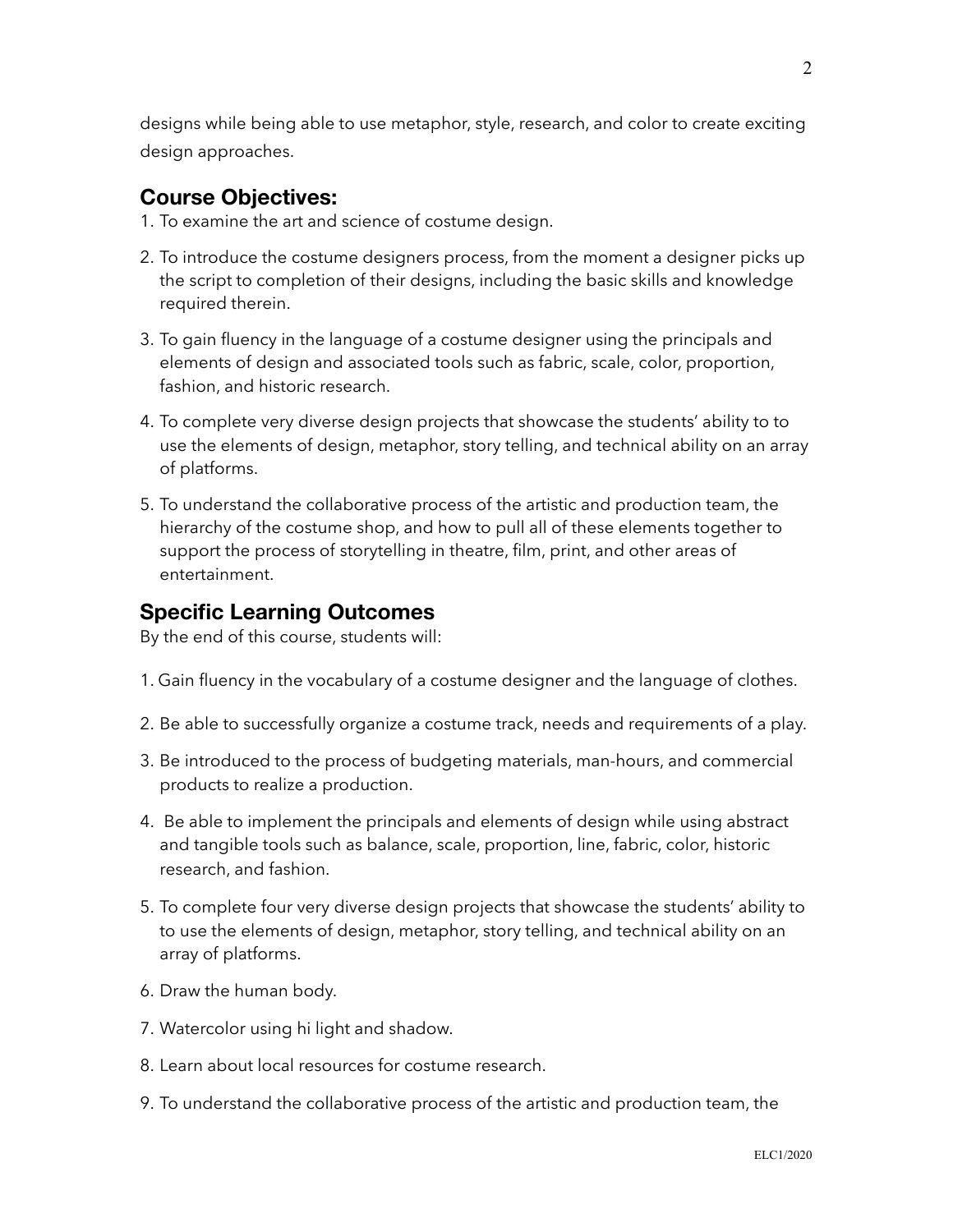designs while being able to use metaphor, style, research, and color to create exciting design approaches.

### **Course Objectives:**

- 1. To examine the art and science of costume design.
- 2. To introduce the costume designers process, from the moment a designer picks up the script to completion of their designs, including the basic skills and knowledge required therein.
- 3. To gain fluency in the language of a costume designer using the principals and elements of design and associated tools such as fabric, scale, color, proportion, fashion, and historic research.
- 4. To complete very diverse design projects that showcase the students' ability to to use the elements of design, metaphor, story telling, and technical ability on an array of platforms.
- 5. To understand the collaborative process of the artistic and production team, the hierarchy of the costume shop, and how to pull all of these elements together to support the process of storytelling in theatre, film, print, and other areas of entertainment.

### **Specific Learning Outcomes**

By the end of this course, students will:

- 1. Gain fluency in the vocabulary of a costume designer and the language of clothes.
- 2. Be able to successfully organize a costume track, needs and requirements of a play.
- 3. Be introduced to the process of budgeting materials, man-hours, and commercial products to realize a production.
- 4. Be able to implement the principals and elements of design while using abstract and tangible tools such as balance, scale, proportion, line, fabric, color, historic research, and fashion.
- 5. To complete four very diverse design projects that showcase the students' ability to to use the elements of design, metaphor, story telling, and technical ability on an array of platforms.
- 6. Draw the human body.
- 7. Watercolor using hi light and shadow.
- 8. Learn about local resources for costume research.
- 9. To understand the collaborative process of the artistic and production team, the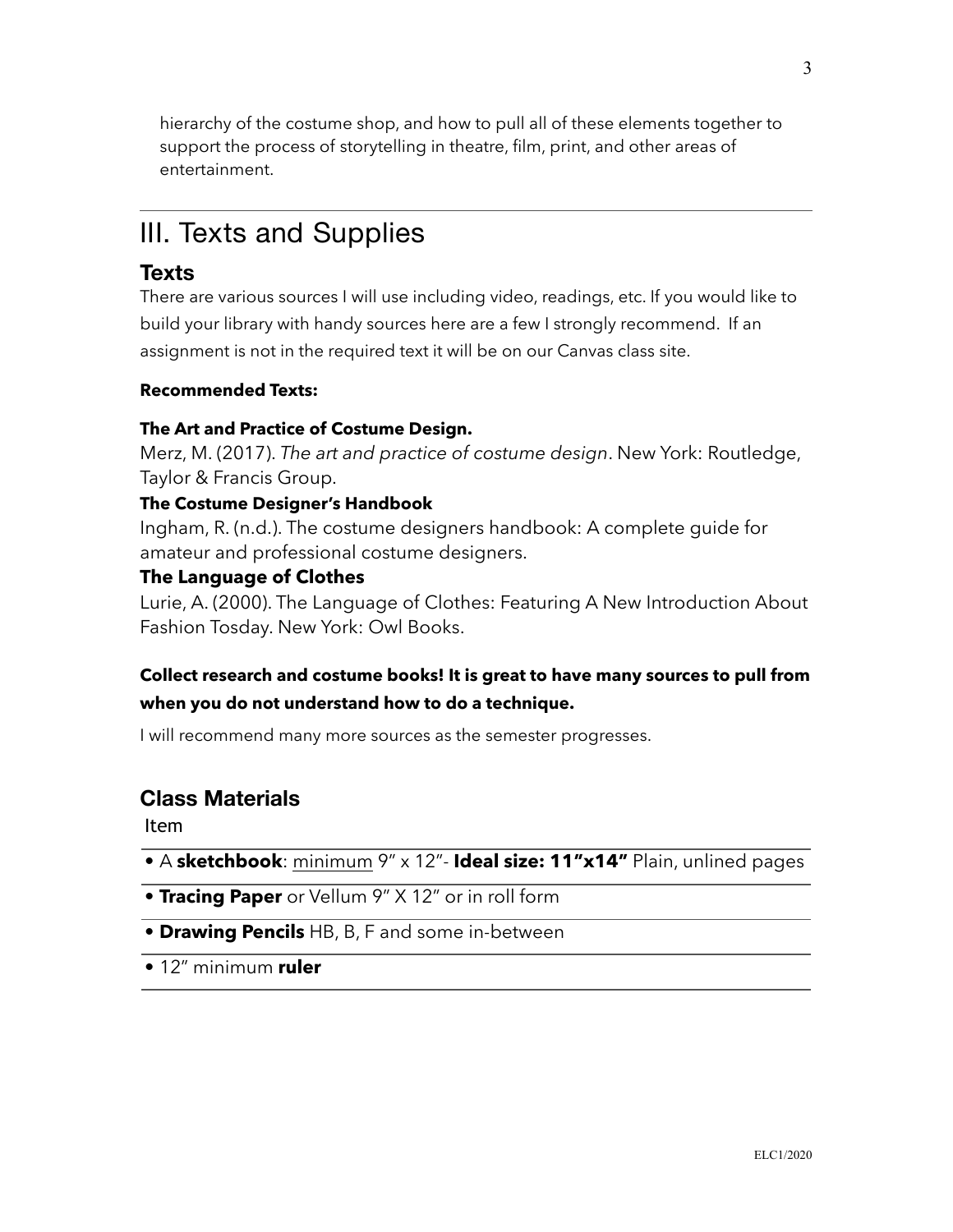hierarchy of the costume shop, and how to pull all of these elements together to support the process of storytelling in theatre, film, print, and other areas of entertainment.

# III. Texts and Supplies

## **Texts**

There are various sources I will use including video, readings, etc. If you would like to build your library with handy sources here are a few I strongly recommend. If an assignment is not in the required text it will be on our Canvas class site.

### **Recommended Texts:**

### **The Art and Practice of Costume Design.**

Merz, M. (2017). *The art and practice of costume design*. New York: Routledge, Taylor & Francis Group.

### **The Costume Designer's Handbook**

Ingham, R. (n.d.). The costume designers handbook: A complete guide for amateur and professional costume designers.

### **The Language of Clothes**

Lurie, A. (2000). The Language of Clothes: Featuring A New Introduction About Fashion Tosday. New York: Owl Books.

### **Collect research and costume books! It is great to have many sources to pull from when you do not understand how to do a technique.**

I will recommend many more sources as the semester progresses.

### **Class Materials**

Item

- A **sketchbook**: minimum 9" x 12"- **Ideal size: 11"x14"** Plain, unlined pages
- **Tracing Paper** or Vellum 9" X 12" or in roll form
- **Drawing Pencils** HB, B, F and some in-between
- 12" minimum **ruler**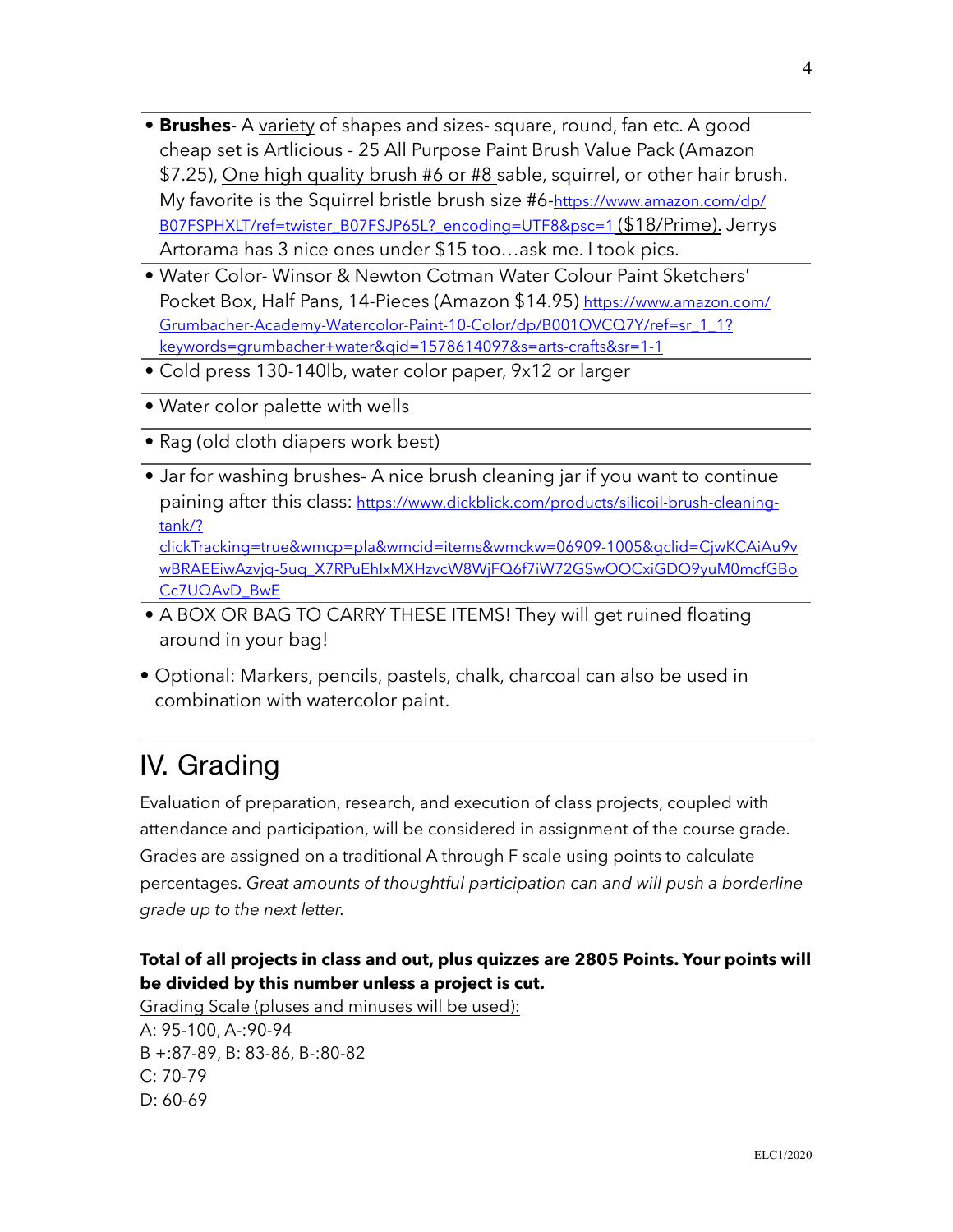- **Brushes** A variety of shapes and sizes- square, round, fan etc. A good cheap set is Artlicious - 25 All Purpose Paint Brush Value Pack (Amazon \$7.25), One high quality brush #6 or #8 sable, squirrel, or other hair brush. [My favorite is the Squirrel bristle brush size #6-https://www.amazon.com/dp/](https://www.amazon.com/dp/B07FSPHXLT/ref=twister_B07FSJP65L?_encoding=UTF8&psc=1) B07FSPHXLT/ref=twister\_B07FSJP65L?\_encoding=UTF8&psc=1 (\$18/Prime). Jerrys Artorama has 3 nice ones under \$15 too…ask me. I took pics.
- Water Color- Winsor & Newton Cotman Water Colour Paint Sketchers' [Pocket Box, Half Pans, 14-Pieces \(Amazon \\$14.95\) https://www.amazon.com/](https://www.amazon.com/Grumbacher-Academy-Watercolor-Paint-10-Color/dp/B001OVCQ7Y/ref=sr_1_1?keywords=grumbacher+water&qid=1578614097&s=arts-crafts&sr=1-1) Grumbacher-Academy-Watercolor-Paint-10-Color/dp/B001OVCQ7Y/ref=sr\_1\_1? keywords=grumbacher+water&qid=1578614097&s=arts-crafts&sr=1-1
- Cold press 130-140lb, water color paper, 9x12 or larger
- Water color palette with wells
- Rag (old cloth diapers work best)
- Jar for washing brushes- A nice brush cleaning jar if you want to continue paining after this class: https://www.dickblick.com/products/silicoil-brush-cleaningtank/? [clickTracking=true&wmcp=pla&wmcid=items&wmckw=06909-1005&gclid=CjwKCAiAu9v](https://www.dickblick.com/products/silicoil-brush-cleaning-tank/?clickTracking=true&wmcp=pla&wmcid=items&wmckw=06909-1005&gclid=CjwKCAiAu9vwBRAEEiwAzvjq-5uq_X7RPuEhIxMXHzvcW8WjFQ6f7iW72GSwOOCxiGDO9yuM0mcfGBoCc7UQAvD_BwE)

wBRAEEiwAzvjq-5uq\_X7RPuEhIxMXHzvcW8WjFQ6f7iW72GSwOOCxiGDO9yuM0mcfGBo Cc7UQAvD\_BwE

- A BOX OR BAG TO CARRY THESE ITEMS! They will get ruined floating around in your bag!
- Optional: Markers, pencils, pastels, chalk, charcoal can also be used in combination with watercolor paint.

# IV. Grading

Evaluation of preparation, research, and execution of class projects, coupled with attendance and participation, will be considered in assignment of the course grade. Grades are assigned on a traditional A through F scale using points to calculate percentages. *Great amounts of thoughtful participation can and will push a borderline grade up to the next letter.*

### **Total of all projects in class and out, plus quizzes are 2805 Points. Your points will be divided by this number unless a project is cut.**

Grading Scale (pluses and minuses will be used): A: 95-100, A-:90-94 B +:87-89, B: 83-86, B-:80-82 C: 70-79 D: 60-69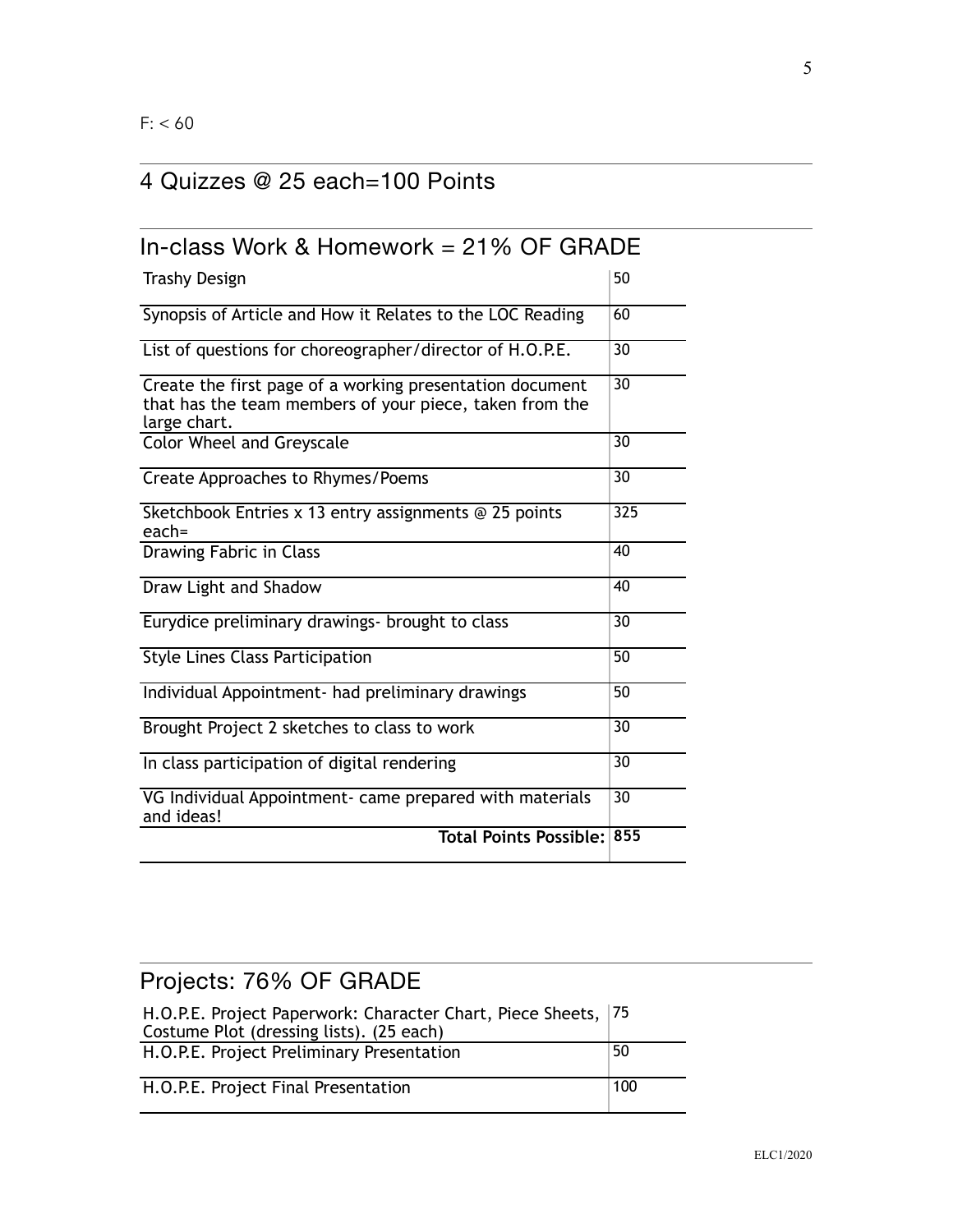## 4 Quizzes @ 25 each=100 Points

| In-class Work & Homework $= 21\%$ OF GRADE                                                                                          |                 |
|-------------------------------------------------------------------------------------------------------------------------------------|-----------------|
| <b>Trashy Design</b>                                                                                                                | 50              |
| Synopsis of Article and How it Relates to the LOC Reading                                                                           | 60              |
| List of questions for choreographer/director of H.O.P.E.                                                                            | 30              |
| Create the first page of a working presentation document<br>that has the team members of your piece, taken from the<br>large chart. | 30              |
| <b>Color Wheel and Greyscale</b>                                                                                                    | $\overline{30}$ |
| Create Approaches to Rhymes/Poems                                                                                                   | 30              |
| Sketchbook Entries x 13 entry assignments @ 25 points<br>$each =$                                                                   | 325             |
| Drawing Fabric in Class                                                                                                             | 40              |
| Draw Light and Shadow                                                                                                               | 40              |
| Eurydice preliminary drawings- brought to class                                                                                     | 30              |
| <b>Style Lines Class Participation</b>                                                                                              | $\overline{50}$ |
| Individual Appointment- had preliminary drawings                                                                                    | $\overline{50}$ |
| Brought Project 2 sketches to class to work                                                                                         | 30              |
| In class participation of digital rendering                                                                                         | $\overline{30}$ |
| VG Individual Appointment- came prepared with materials<br>and ideas!                                                               | $\overline{30}$ |
| <b>Total Points Possible: 855</b>                                                                                                   |                 |

# Projects: 76% OF GRADE H.O.P.E. Project Paperwork: Character Chart, Piece Sheets, 75 Costume Plot (dressing lists). (25 each) H.O.P.E. Project Preliminary Presentation  $|50$ H.O.P.E. Project Final Presentation 100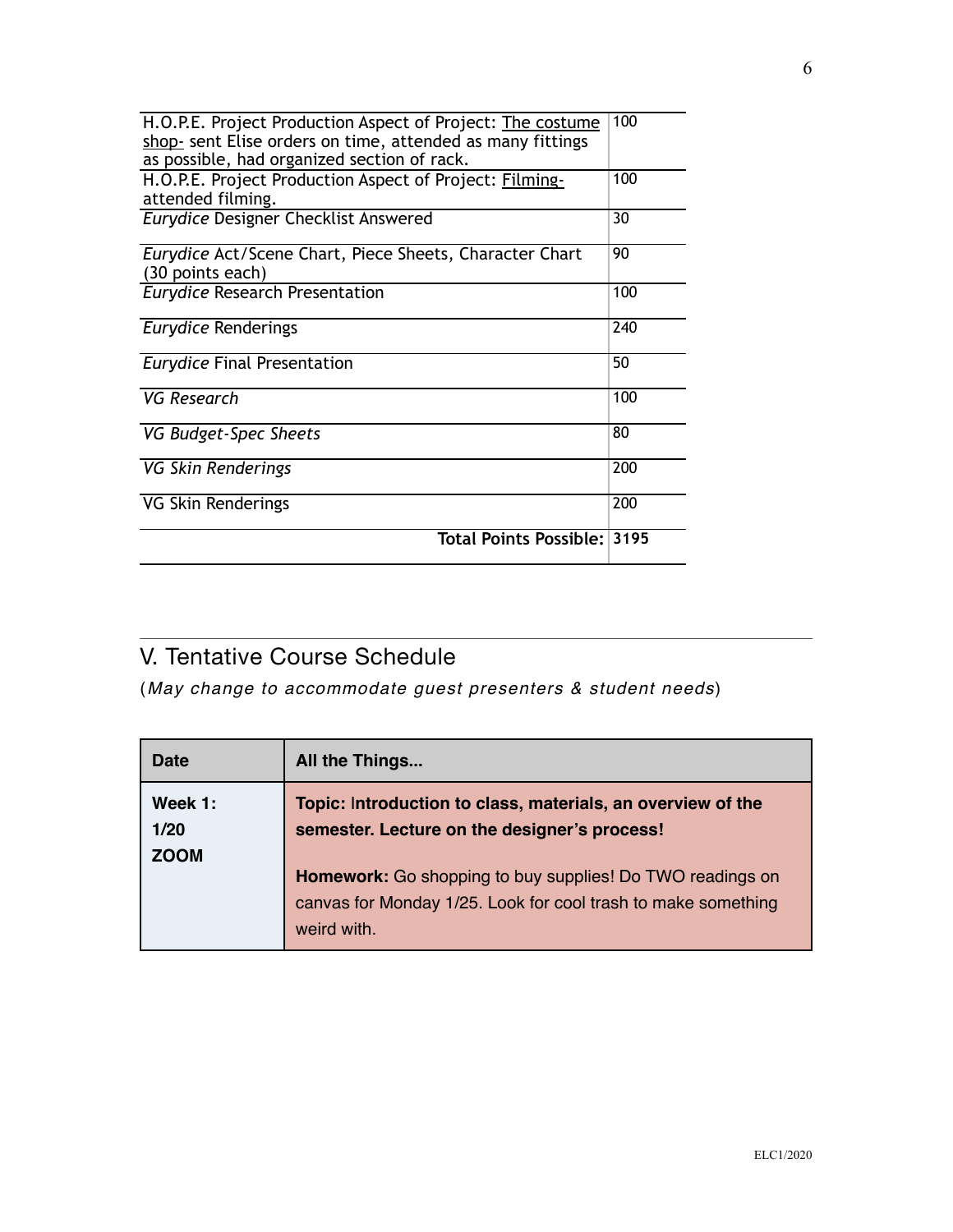| H.O.P.E. Project Production Aspect of Project: The costume<br>shop- sent Elise orders on time, attended as many fittings | 100 |
|--------------------------------------------------------------------------------------------------------------------------|-----|
| as possible, had organized section of rack.                                                                              |     |
| H.O.P.E. Project Production Aspect of Project: Filming-<br>attended filming.                                             | 100 |
| <b>Eurydice Designer Checklist Answered</b>                                                                              | 30  |
| Eurydice Act/Scene Chart, Piece Sheets, Character Chart                                                                  | 90  |
| (30 points each)                                                                                                         |     |
| <b>Eurydice Research Presentation</b>                                                                                    | 100 |
| Eurydice Renderings                                                                                                      | 240 |
| <b>Eurydice Final Presentation</b>                                                                                       | 50  |
| VG Research                                                                                                              | 100 |
| VG Budget-Spec Sheets                                                                                                    | 80  |
| VG Skin Renderings                                                                                                       | 200 |
| VG Skin Renderings                                                                                                       | 200 |
| Total Points Possible: 3195                                                                                              |     |

## V. Tentative Course Schedule

(*May change to accommodate guest presenters & student needs*)

| <b>Date</b> | All the Things                                                |
|-------------|---------------------------------------------------------------|
| Week 1:     | Topic: Introduction to class, materials, an overview of the   |
| 1/20        | semester. Lecture on the designer's process!                  |
| <b>ZOOM</b> |                                                               |
|             | Homework: Go shopping to buy supplies! Do TWO readings on     |
|             | canvas for Monday 1/25. Look for cool trash to make something |
|             | weird with.                                                   |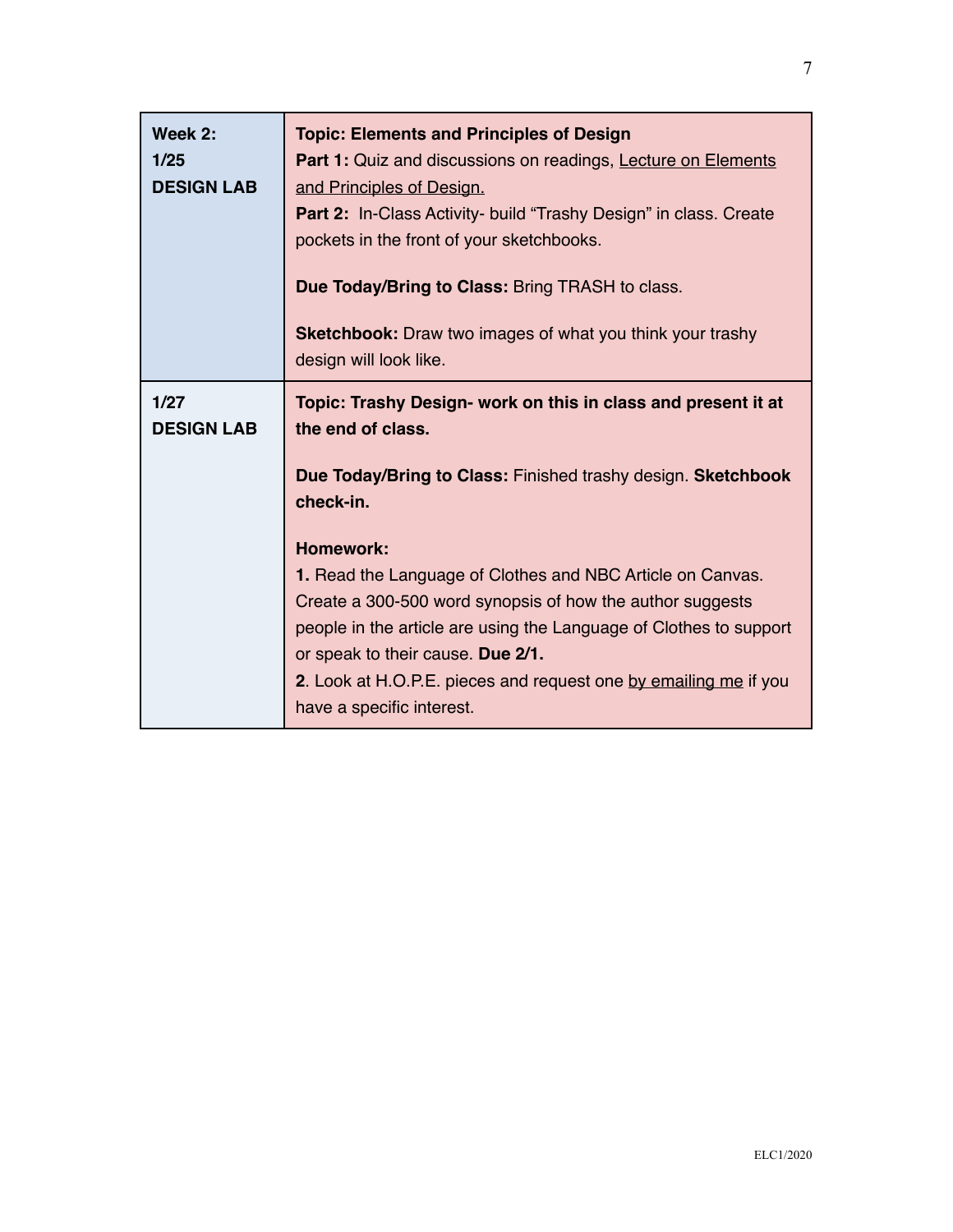٦

| Week 2:<br>1/25<br><b>DESIGN LAB</b> | <b>Topic: Elements and Principles of Design</b><br>Part 1: Quiz and discussions on readings, Lecture on Elements<br>and Principles of Design.<br>Part 2: In-Class Activity- build "Trashy Design" in class. Create<br>pockets in the front of your sketchbooks.<br>Due Today/Bring to Class: Bring TRASH to class.<br><b>Sketchbook:</b> Draw two images of what you think your trashy<br>design will look like.                                                                                                           |
|--------------------------------------|----------------------------------------------------------------------------------------------------------------------------------------------------------------------------------------------------------------------------------------------------------------------------------------------------------------------------------------------------------------------------------------------------------------------------------------------------------------------------------------------------------------------------|
| 1/27<br><b>DESIGN LAB</b>            | Topic: Trashy Design- work on this in class and present it at<br>the end of class.<br>Due Today/Bring to Class: Finished trashy design. Sketchbook<br>check-in.<br><b>Homework:</b><br>1. Read the Language of Clothes and NBC Article on Canvas.<br>Create a 300-500 word synopsis of how the author suggests<br>people in the article are using the Language of Clothes to support<br>or speak to their cause. Due 2/1.<br>2. Look at H.O.P.E. pieces and request one by emailing me if you<br>have a specific interest. |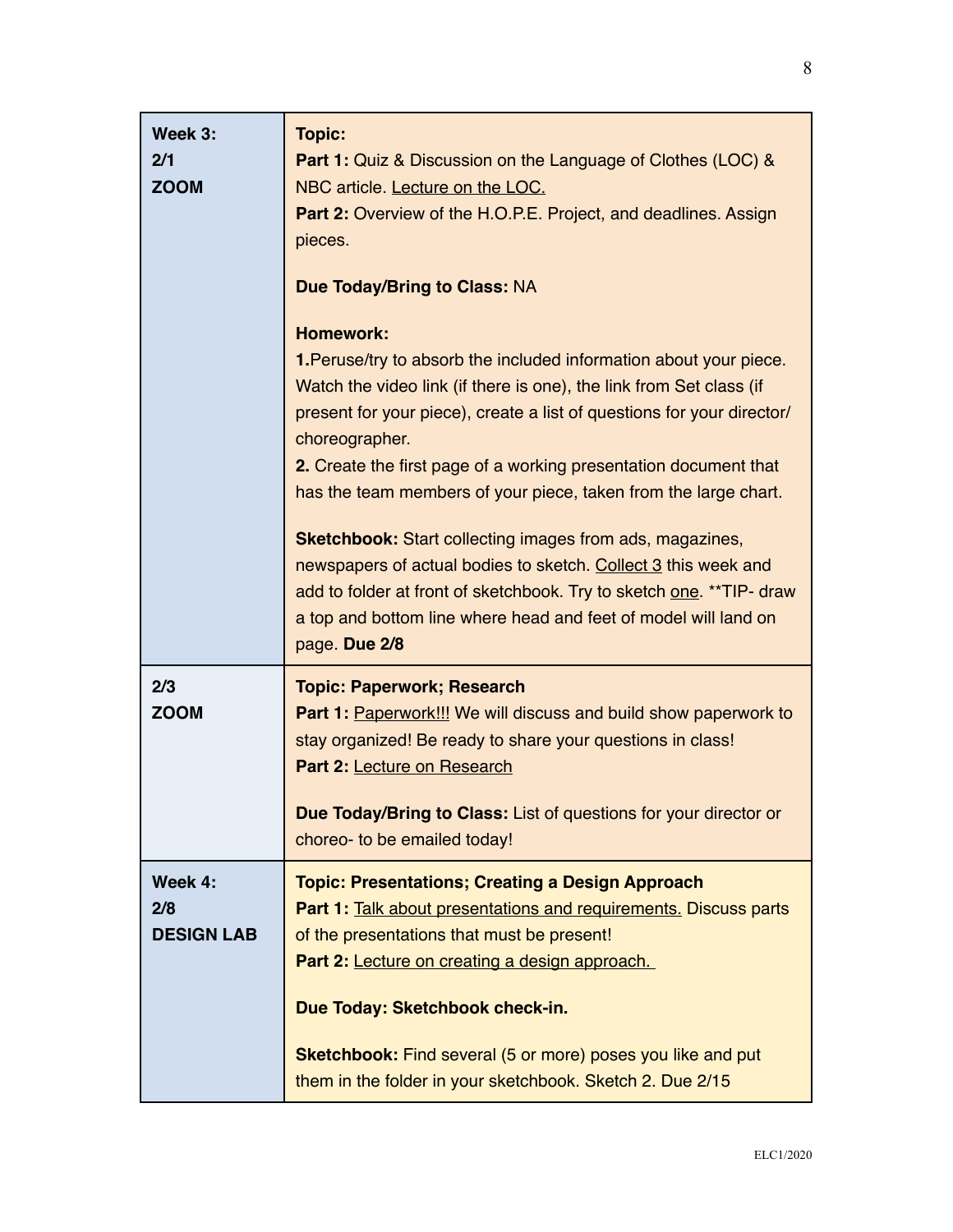| Week 3:<br>2/1<br><b>ZOOM</b>       | <b>Topic:</b><br><b>Part 1:</b> Quiz & Discussion on the Language of Clothes (LOC) &<br>NBC article. Lecture on the LOC.<br>Part 2: Overview of the H.O.P.E. Project, and deadlines. Assign<br>pieces.<br><b>Due Today/Bring to Class: NA</b><br><b>Homework:</b><br>1. Peruse/try to absorb the included information about your piece.<br>Watch the video link (if there is one), the link from Set class (if<br>present for your piece), create a list of questions for your director/<br>choreographer. |
|-------------------------------------|------------------------------------------------------------------------------------------------------------------------------------------------------------------------------------------------------------------------------------------------------------------------------------------------------------------------------------------------------------------------------------------------------------------------------------------------------------------------------------------------------------|
|                                     | 2. Create the first page of a working presentation document that<br>has the team members of your piece, taken from the large chart.                                                                                                                                                                                                                                                                                                                                                                        |
|                                     | <b>Sketchbook:</b> Start collecting images from ads, magazines,<br>newspapers of actual bodies to sketch. Collect 3 this week and<br>add to folder at front of sketchbook. Try to sketch one. ** TIP- draw<br>a top and bottom line where head and feet of model will land on<br>page. Due 2/8                                                                                                                                                                                                             |
| 2/3<br><b>ZOOM</b>                  | <b>Topic: Paperwork; Research</b><br><b>Part 1: Paperwork!!! We will discuss and build show paperwork to</b><br>stay organized! Be ready to share your questions in class!<br>Part 2: Lecture on Research                                                                                                                                                                                                                                                                                                  |
|                                     | Due Today/Bring to Class: List of questions for your director or<br>choreo- to be emailed today!                                                                                                                                                                                                                                                                                                                                                                                                           |
| Week 4:<br>2/8<br><b>DESIGN LAB</b> | <b>Topic: Presentations; Creating a Design Approach</b><br><b>Part 1: Talk about presentations and requirements. Discuss parts</b><br>of the presentations that must be present!<br>Part 2: Lecture on creating a design approach.<br>Due Today: Sketchbook check-in.                                                                                                                                                                                                                                      |
|                                     | <b>Sketchbook:</b> Find several (5 or more) poses you like and put<br>them in the folder in your sketchbook. Sketch 2. Due 2/15                                                                                                                                                                                                                                                                                                                                                                            |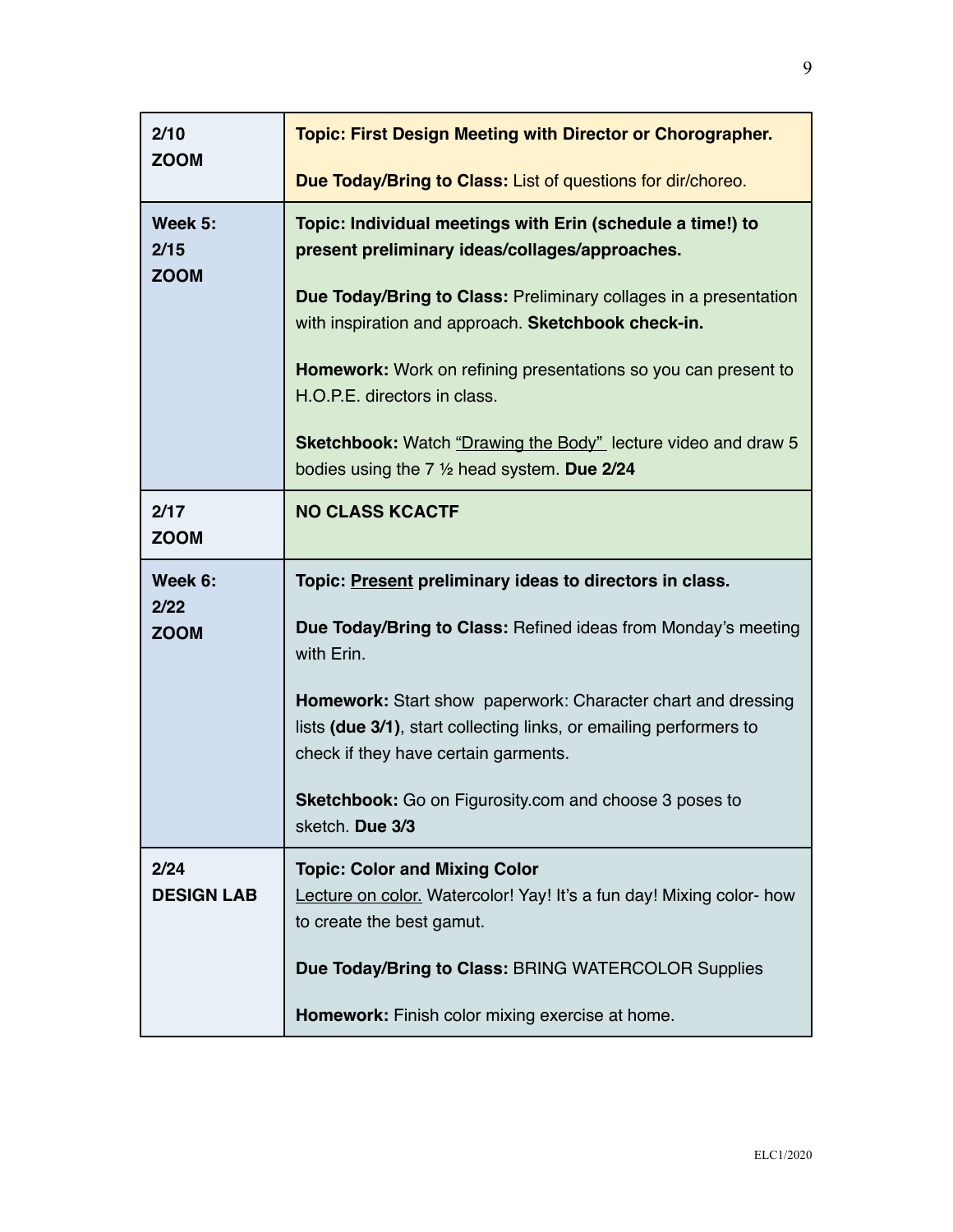| 2/10<br><b>ZOOM</b>            | <b>Topic: First Design Meeting with Director or Chorographer.</b><br>Due Today/Bring to Class: List of questions for dir/choreo.                                                                                                                                                                                                                                                                                                                                                  |
|--------------------------------|-----------------------------------------------------------------------------------------------------------------------------------------------------------------------------------------------------------------------------------------------------------------------------------------------------------------------------------------------------------------------------------------------------------------------------------------------------------------------------------|
| Week 5:<br>2/15<br><b>ZOOM</b> | Topic: Individual meetings with Erin (schedule a time!) to<br>present preliminary ideas/collages/approaches.<br>Due Today/Bring to Class: Preliminary collages in a presentation<br>with inspiration and approach. Sketchbook check-in.<br><b>Homework:</b> Work on refining presentations so you can present to<br>H.O.P.E. directors in class.<br><b>Sketchbook:</b> Watch "Drawing the Body" lecture video and draw 5<br>bodies using the $7\frac{1}{2}$ head system. Due 2/24 |
| 2/17<br><b>ZOOM</b>            | <b>NO CLASS KCACTF</b>                                                                                                                                                                                                                                                                                                                                                                                                                                                            |
| Week 6:<br>2/22<br><b>ZOOM</b> | Topic: Present preliminary ideas to directors in class.<br>Due Today/Bring to Class: Refined ideas from Monday's meeting<br>with Erin.<br><b>Homework:</b> Start show paperwork: Character chart and dressing<br>lists (due 3/1), start collecting links, or emailing performers to<br>check if they have certain garments.<br><b>Sketchbook:</b> Go on Figurosity.com and choose 3 poses to<br>sketch. Due 3/3                                                                   |
| 2/24<br><b>DESIGN LAB</b>      | <b>Topic: Color and Mixing Color</b><br>Lecture on color. Watercolor! Yay! It's a fun day! Mixing color- how<br>to create the best gamut.<br>Due Today/Bring to Class: BRING WATERCOLOR Supplies<br>Homework: Finish color mixing exercise at home.                                                                                                                                                                                                                               |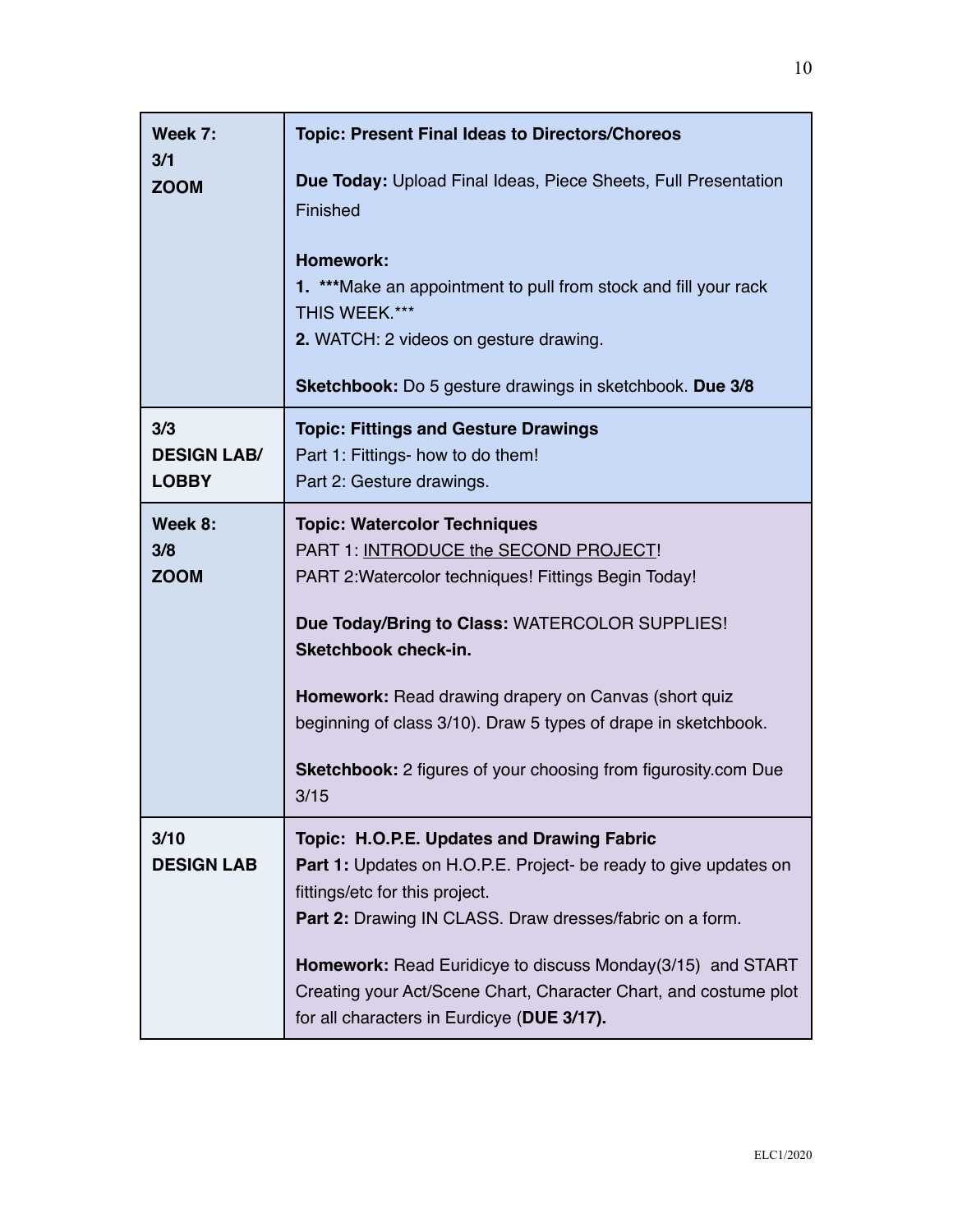| Week 7:                       | <b>Topic: Present Final Ideas to Directors/Choreos</b>                                                                                                                                                                                                                                                                                                                                                                    |
|-------------------------------|---------------------------------------------------------------------------------------------------------------------------------------------------------------------------------------------------------------------------------------------------------------------------------------------------------------------------------------------------------------------------------------------------------------------------|
| 3/1<br><b>ZOOM</b>            | <b>Due Today: Upload Final Ideas, Piece Sheets, Full Presentation</b><br>Finished                                                                                                                                                                                                                                                                                                                                         |
|                               | <b>Homework:</b><br>1. ***Make an appointment to pull from stock and fill your rack<br>THIS WEEK.***<br>2. WATCH: 2 videos on gesture drawing.<br><b>Sketchbook:</b> Do 5 gesture drawings in sketchbook. Due 3/8                                                                                                                                                                                                         |
|                               |                                                                                                                                                                                                                                                                                                                                                                                                                           |
| 3/3<br><b>DESIGN LAB/</b>     | <b>Topic: Fittings and Gesture Drawings</b><br>Part 1: Fittings- how to do them!                                                                                                                                                                                                                                                                                                                                          |
| <b>LOBBY</b>                  | Part 2: Gesture drawings.                                                                                                                                                                                                                                                                                                                                                                                                 |
| Week 8:<br>3/8<br><b>ZOOM</b> | <b>Topic: Watercolor Techniques</b><br>PART 1: INTRODUCE the SECOND PROJECT!<br>PART 2: Watercolor techniques! Fittings Begin Today!<br>Due Today/Bring to Class: WATERCOLOR SUPPLIES!<br><b>Sketchbook check-in.</b><br>Homework: Read drawing drapery on Canvas (short quiz<br>beginning of class 3/10). Draw 5 types of drape in sketchbook.<br>Sketchbook: 2 figures of your choosing from figurosity.com Due<br>3/15 |
| 3/10<br><b>DESIGN LAB</b>     | Topic: H.O.P.E. Updates and Drawing Fabric<br><b>Part 1:</b> Updates on H.O.P.E. Project- be ready to give updates on<br>fittings/etc for this project.<br><b>Part 2:</b> Drawing IN CLASS. Draw dresses/fabric on a form.<br><b>Homework:</b> Read Euridicye to discuss Monday(3/15) and START<br>Creating your Act/Scene Chart, Character Chart, and costume plot<br>for all characters in Eurdicye (DUE 3/17).         |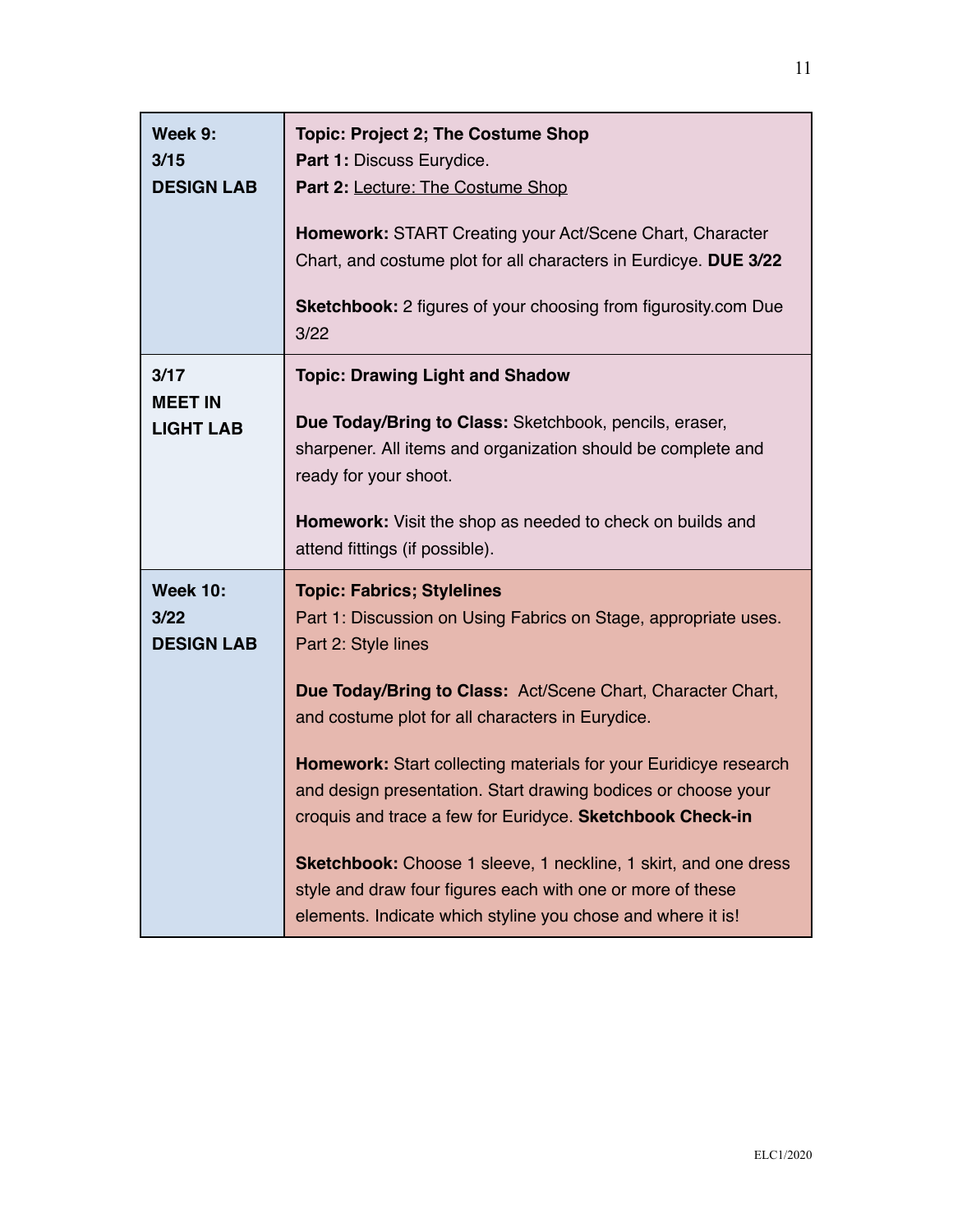| Week 9:<br>3/15<br><b>DESIGN LAB</b>         | <b>Topic: Project 2; The Costume Shop</b><br>Part 1: Discuss Eurydice.<br>Part 2: Lecture: The Costume Shop<br>Homework: START Creating your Act/Scene Chart, Character<br>Chart, and costume plot for all characters in Eurdicye. DUE 3/22<br><b>Sketchbook:</b> 2 figures of your choosing from figurosity.com Due<br>3/22                                                                                                                                                                                                                                                                                                                     |
|----------------------------------------------|--------------------------------------------------------------------------------------------------------------------------------------------------------------------------------------------------------------------------------------------------------------------------------------------------------------------------------------------------------------------------------------------------------------------------------------------------------------------------------------------------------------------------------------------------------------------------------------------------------------------------------------------------|
| 3/17<br><b>MEET IN</b><br><b>LIGHT LAB</b>   | <b>Topic: Drawing Light and Shadow</b><br>Due Today/Bring to Class: Sketchbook, pencils, eraser,<br>sharpener. All items and organization should be complete and<br>ready for your shoot.<br>Homework: Visit the shop as needed to check on builds and<br>attend fittings (if possible).                                                                                                                                                                                                                                                                                                                                                         |
| <b>Week 10:</b><br>3/22<br><b>DESIGN LAB</b> | <b>Topic: Fabrics; Stylelines</b><br>Part 1: Discussion on Using Fabrics on Stage, appropriate uses.<br>Part 2: Style lines<br>Due Today/Bring to Class: Act/Scene Chart, Character Chart,<br>and costume plot for all characters in Eurydice.<br>Homework: Start collecting materials for your Euridicye research<br>and design presentation. Start drawing bodices or choose your<br>croquis and trace a few for Euridyce. Sketchbook Check-in<br>Sketchbook: Choose 1 sleeve, 1 neckline, 1 skirt, and one dress<br>style and draw four figures each with one or more of these<br>elements. Indicate which styline you chose and where it is! |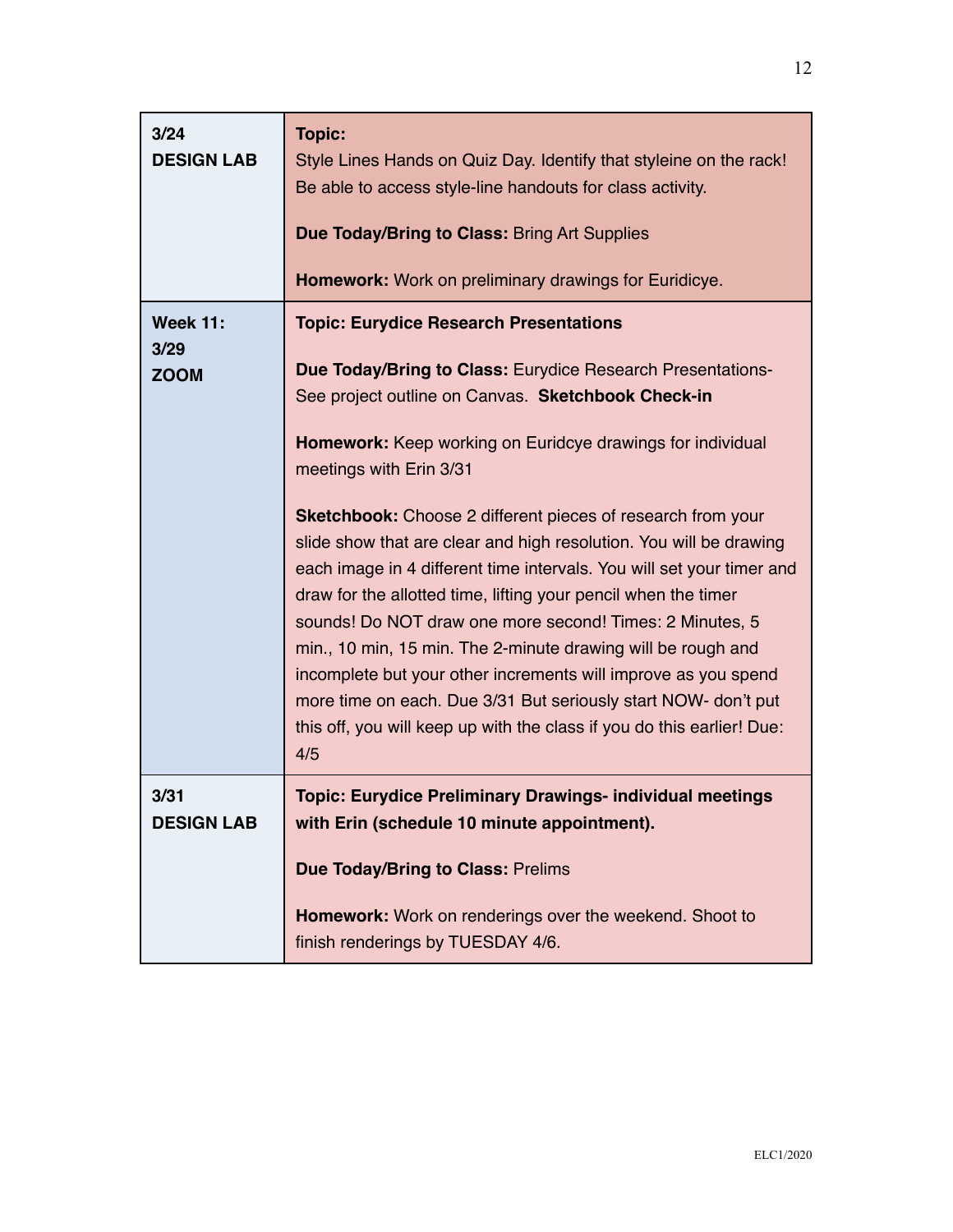| 3/24<br><b>DESIGN LAB</b>              | <b>Topic:</b><br>Style Lines Hands on Quiz Day. Identify that styleine on the rack!<br>Be able to access style-line handouts for class activity.<br><b>Due Today/Bring to Class: Bring Art Supplies</b><br>Homework: Work on preliminary drawings for Euridicye.                                                                                                                                                                                                                                                                                                                                                                                                                                                                                                                                                                                                                                          |
|----------------------------------------|-----------------------------------------------------------------------------------------------------------------------------------------------------------------------------------------------------------------------------------------------------------------------------------------------------------------------------------------------------------------------------------------------------------------------------------------------------------------------------------------------------------------------------------------------------------------------------------------------------------------------------------------------------------------------------------------------------------------------------------------------------------------------------------------------------------------------------------------------------------------------------------------------------------|
| <b>Week 11:</b><br>3/29<br><b>ZOOM</b> | <b>Topic: Eurydice Research Presentations</b><br>Due Today/Bring to Class: Eurydice Research Presentations-<br>See project outline on Canvas. Sketchbook Check-in<br><b>Homework:</b> Keep working on Euridcye drawings for individual<br>meetings with Erin 3/31<br><b>Sketchbook:</b> Choose 2 different pieces of research from your<br>slide show that are clear and high resolution. You will be drawing<br>each image in 4 different time intervals. You will set your timer and<br>draw for the allotted time, lifting your pencil when the timer<br>sounds! Do NOT draw one more second! Times: 2 Minutes, 5<br>min., 10 min, 15 min. The 2-minute drawing will be rough and<br>incomplete but your other increments will improve as you spend<br>more time on each. Due 3/31 But seriously start NOW- don't put<br>this off, you will keep up with the class if you do this earlier! Due:<br>4/5 |
| 3/31<br><b>DESIGN LAB</b>              | <b>Topic: Eurydice Preliminary Drawings- individual meetings</b><br>with Erin (schedule 10 minute appointment).<br><b>Due Today/Bring to Class: Prelims</b><br>Homework: Work on renderings over the weekend. Shoot to<br>finish renderings by TUESDAY 4/6.                                                                                                                                                                                                                                                                                                                                                                                                                                                                                                                                                                                                                                               |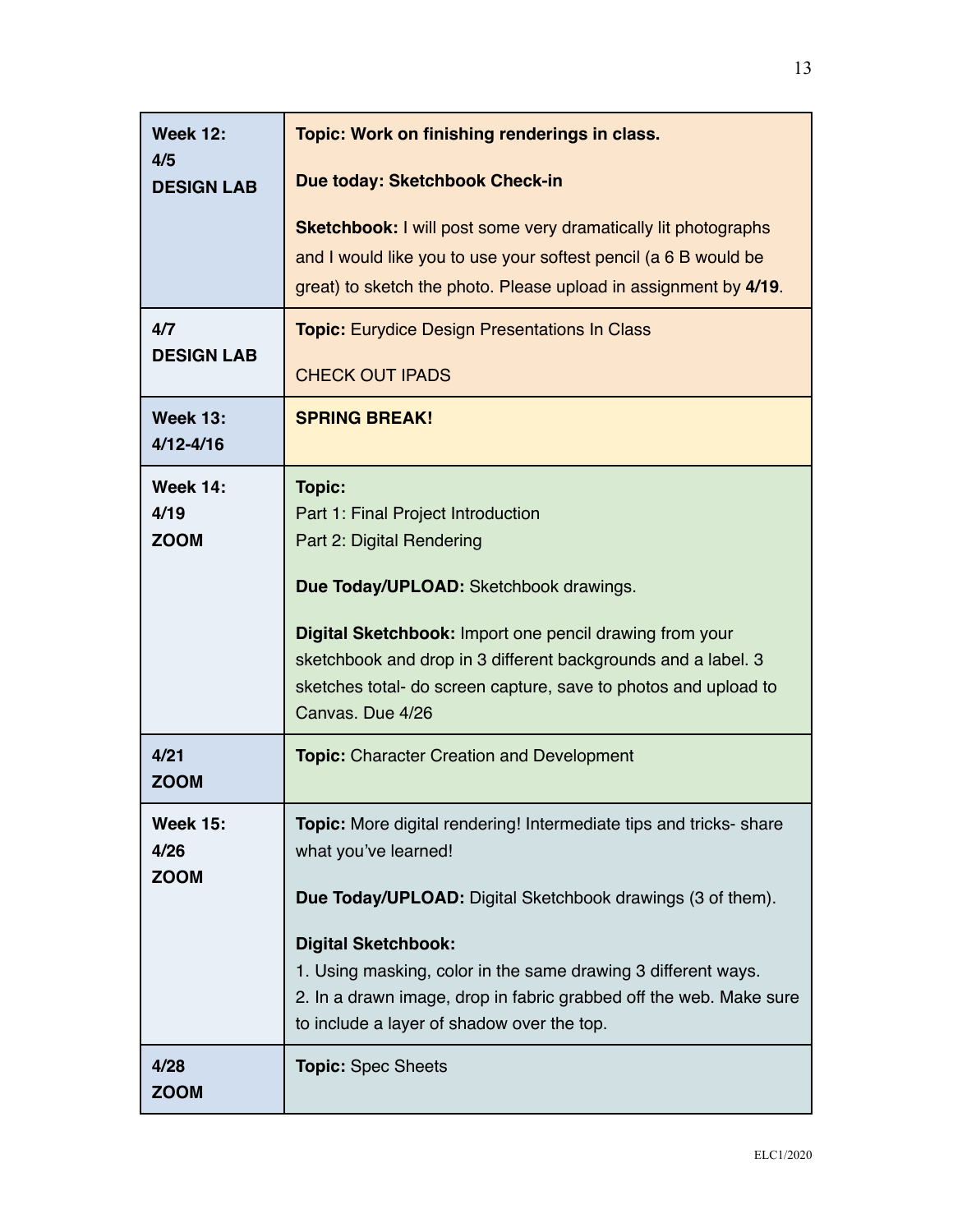| <b>Week 12:</b><br>4/5                 | Topic: Work on finishing renderings in class.                                                                                                                                                                                                                                                                                                                               |
|----------------------------------------|-----------------------------------------------------------------------------------------------------------------------------------------------------------------------------------------------------------------------------------------------------------------------------------------------------------------------------------------------------------------------------|
| <b>DESIGN LAB</b>                      | Due today: Sketchbook Check-in<br><b>Sketchbook:</b> I will post some very dramatically lit photographs<br>and I would like you to use your softest pencil (a 6 B would be                                                                                                                                                                                                  |
|                                        | great) to sketch the photo. Please upload in assignment by 4/19.                                                                                                                                                                                                                                                                                                            |
| 4/7<br><b>DESIGN LAB</b>               | <b>Topic:</b> Eurydice Design Presentations In Class<br><b>CHECK OUT IPADS</b>                                                                                                                                                                                                                                                                                              |
| <b>Week 13:</b><br>$4/12 - 4/16$       | <b>SPRING BREAK!</b>                                                                                                                                                                                                                                                                                                                                                        |
| <b>Week 14:</b><br>4/19<br><b>ZOOM</b> | <b>Topic:</b><br>Part 1: Final Project Introduction<br>Part 2: Digital Rendering<br>Due Today/UPLOAD: Sketchbook drawings.<br>Digital Sketchbook: Import one pencil drawing from your<br>sketchbook and drop in 3 different backgrounds and a label. 3<br>sketches total- do screen capture, save to photos and upload to<br>Canvas, Due 4/26                               |
| 4/21<br><b>ZOOM</b>                    | <b>Topic:</b> Character Creation and Development                                                                                                                                                                                                                                                                                                                            |
| <b>Week 15:</b><br>4/26<br><b>ZOOM</b> | Topic: More digital rendering! Intermediate tips and tricks- share<br>what you've learned!<br>Due Today/UPLOAD: Digital Sketchbook drawings (3 of them).<br><b>Digital Sketchbook:</b><br>1. Using masking, color in the same drawing 3 different ways.<br>2. In a drawn image, drop in fabric grabbed off the web. Make sure<br>to include a layer of shadow over the top. |
| 4/28<br><b>ZOOM</b>                    | <b>Topic: Spec Sheets</b>                                                                                                                                                                                                                                                                                                                                                   |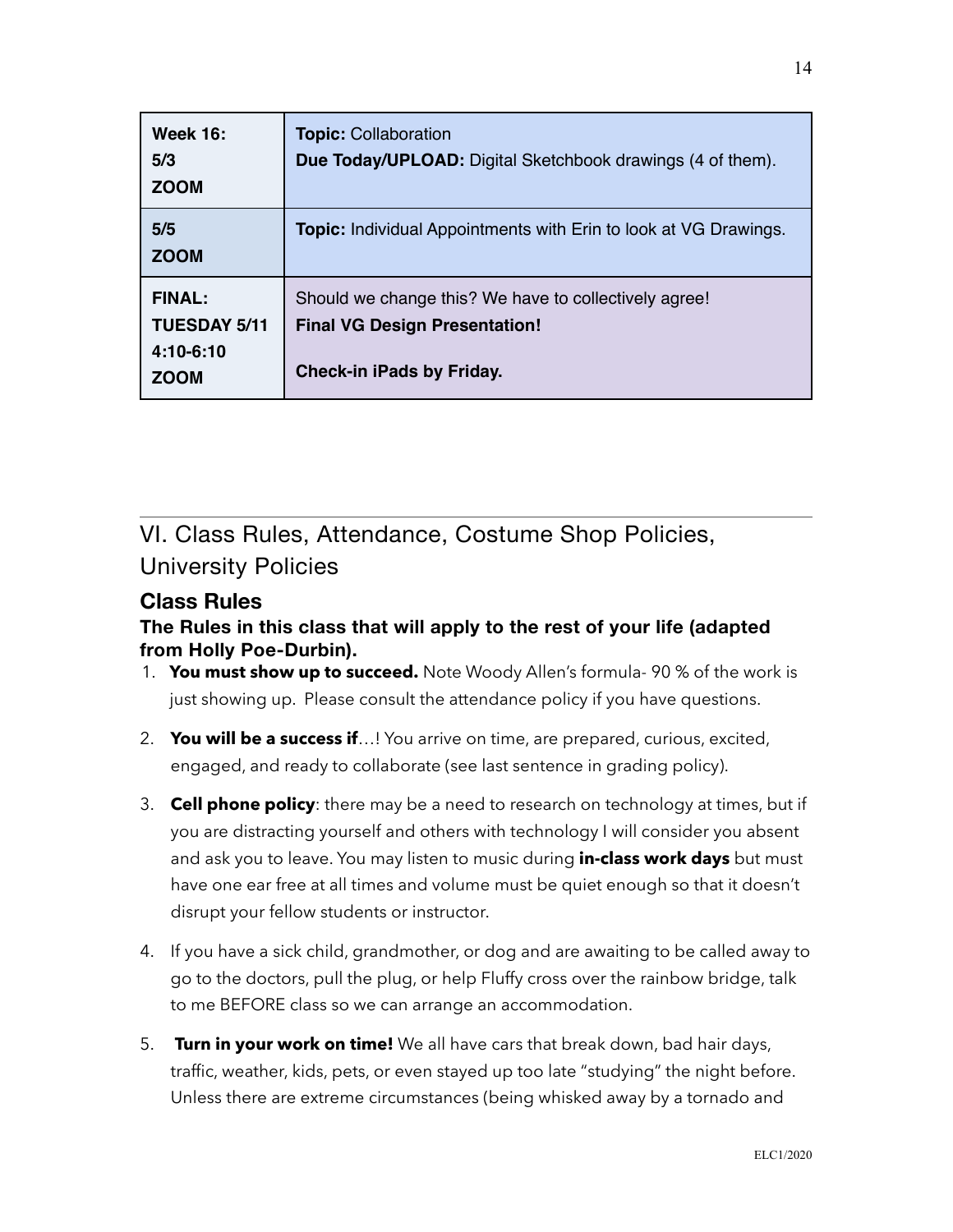| <b>Week 16:</b><br>5/3<br><b>ZOOM</b>                            | <b>Topic: Collaboration</b><br><b>Due Today/UPLOAD:</b> Digital Sketchbook drawings (4 of them).                                  |
|------------------------------------------------------------------|-----------------------------------------------------------------------------------------------------------------------------------|
| 5/5<br><b>ZOOM</b>                                               | <b>Topic:</b> Individual Appointments with Erin to look at VG Drawings.                                                           |
| <b>FINAL:</b><br><b>TUESDAY 5/11</b><br>4:10-6:10<br><b>ZOOM</b> | Should we change this? We have to collectively agree!<br><b>Final VG Design Presentation!</b><br><b>Check-in iPads by Friday.</b> |

VI. Class Rules, Attendance, Costume Shop Policies, University Policies

### **Class Rules**

### **The Rules in this class that will apply to the rest of your life (adapted from Holly Poe-Durbin).**

- 1. **You must show up to succeed.** Note Woody Allen's formula- 90 % of the work is just showing up. Please consult the attendance policy if you have questions.
- 2. **You will be a success if**…! You arrive on time, are prepared, curious, excited, engaged, and ready to collaborate (see last sentence in grading policy).
- 3. **Cell phone policy**: there may be a need to research on technology at times, but if you are distracting yourself and others with technology I will consider you absent and ask you to leave. You may listen to music during **in-class work days** but must have one ear free at all times and volume must be quiet enough so that it doesn't disrupt your fellow students or instructor.
- 4. If you have a sick child, grandmother, or dog and are awaiting to be called away to go to the doctors, pull the plug, or help Fluffy cross over the rainbow bridge, talk to me BEFORE class so we can arrange an accommodation.
- 5. **Turn in your work on time!** We all have cars that break down, bad hair days, traffic, weather, kids, pets, or even stayed up too late "studying" the night before. Unless there are extreme circumstances (being whisked away by a tornado and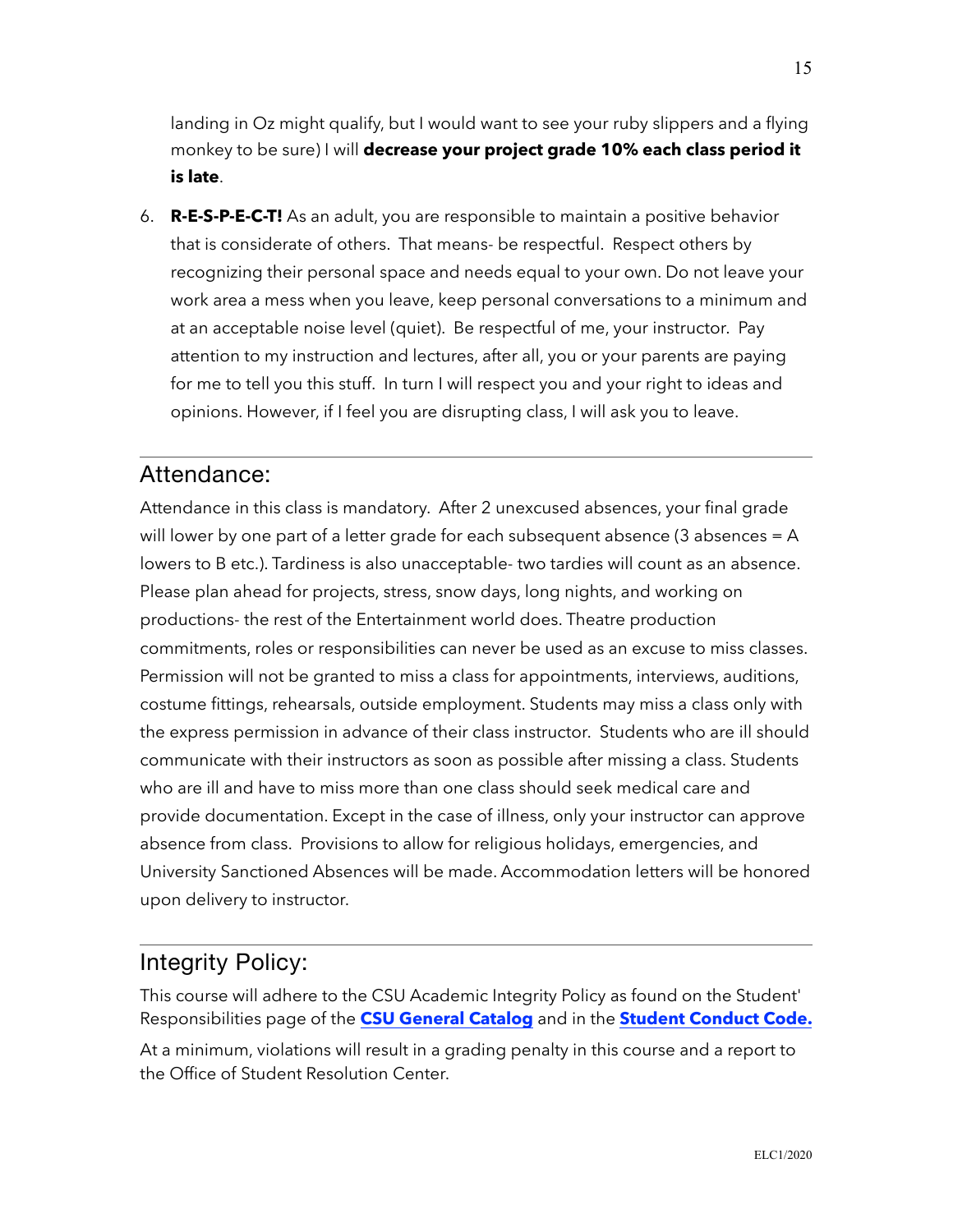landing in Oz might qualify, but I would want to see your ruby slippers and a flying monkey to be sure) I will **decrease your project grade 10% each class period it is late**.

6. **R-E-S-P-E-C-T!** As an adult, you are responsible to maintain a positive behavior that is considerate of others. That means- be respectful. Respect others by recognizing their personal space and needs equal to your own. Do not leave your work area a mess when you leave, keep personal conversations to a minimum and at an acceptable noise level (quiet). Be respectful of me, your instructor. Pay attention to my instruction and lectures, after all, you or your parents are paying for me to tell you this stuff. In turn I will respect you and your right to ideas and opinions. However, if I feel you are disrupting class, I will ask you to leave.

### Attendance:

Attendance in this class is mandatory. After 2 unexcused absences, your final grade will lower by one part of a letter grade for each subsequent absence (3 absences = A lowers to B etc.). Tardiness is also unacceptable- two tardies will count as an absence. Please plan ahead for projects, stress, snow days, long nights, and working on productions- the rest of the Entertainment world does. Theatre production commitments, roles or responsibilities can never be used as an excuse to miss classes. Permission will not be granted to miss a class for appointments, interviews, auditions, costume fittings, rehearsals, outside employment. Students may miss a class only with the express permission in advance of their class instructor. Students who are ill should communicate with their instructors as soon as possible after missing a class. Students who are ill and have to miss more than one class should seek medical care and provide documentation. Except in the case of illness, only your instructor can approve absence from class. Provisions to allow for religious holidays, emergencies, and University Sanctioned Absences will be made. Accommodation letters will be honored upon delivery to instructor.

### Integrity Policy:

This course will adhere to the CSU Academic Integrity Policy as found on the Student' Responsibilities page of the **[CSU General Catalog](http://catalog.colostate.edu/general-catalog/policies/students-responsibilities/%22%20%5Cl%20%22academic-integrity%22%20%5Ct%20%22_blank)** and in the **[Student Conduct Code.](http://resolutioncenter.colostate.edu/conduct-code/%22%20%5Ct%20%22_blank)**

At a minimum, violations will result in a grading penalty in this course and a report to the Office of Student Resolution Center.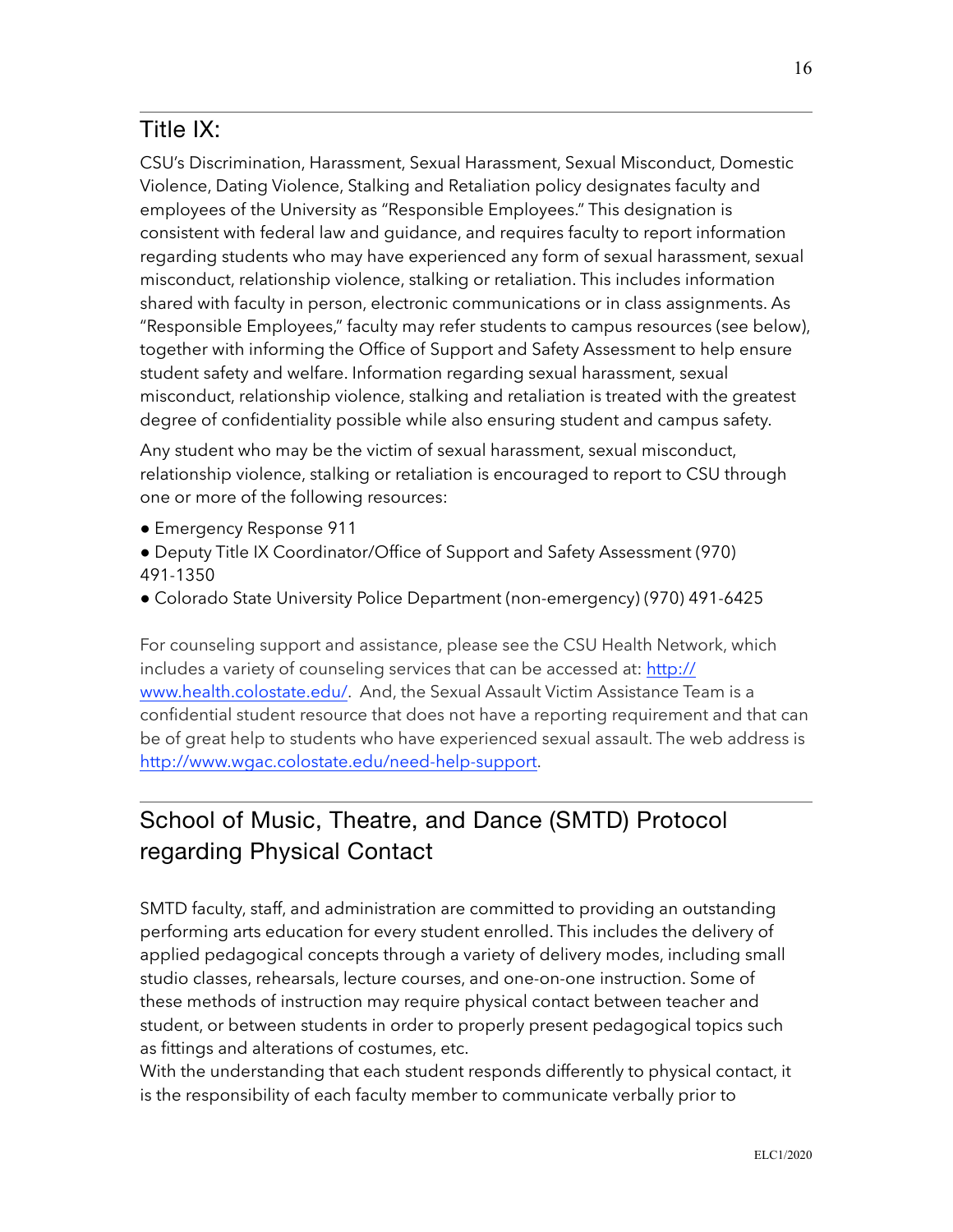# Title IX:

CSU's Discrimination, Harassment, Sexual Harassment, Sexual Misconduct, Domestic Violence, Dating Violence, Stalking and Retaliation policy designates faculty and employees of the University as "Responsible Employees." This designation is consistent with federal law and guidance, and requires faculty to report information regarding students who may have experienced any form of sexual harassment, sexual misconduct, relationship violence, stalking or retaliation. This includes information shared with faculty in person, electronic communications or in class assignments. As "Responsible Employees," faculty may refer students to campus resources (see below), together with informing the Office of Support and Safety Assessment to help ensure student safety and welfare. Information regarding sexual harassment, sexual misconduct, relationship violence, stalking and retaliation is treated with the greatest degree of confidentiality possible while also ensuring student and campus safety.

Any student who may be the victim of sexual harassment, sexual misconduct, relationship violence, stalking or retaliation is encouraged to report to CSU through one or more of the following resources:

- Emergency Response 911
- Deputy Title IX Coordinator/Office of Support and Safety Assessment (970) 491-1350
- Colorado State University Police Department (non-emergency) (970) 491-6425

For counseling support and assistance, please see the CSU Health Network, which includes a variety of counseling services that can be accessed at: [http://](http://www.health.colostate.edu/%22%20%5Ct%20%22_blank%22%20%5Co%20%22http://www.health.colostate.edu/Ctrl+Click%20or%20tap%20to%20follow%20the%20link) [www.health.colostate.edu/](http://www.health.colostate.edu/%22%20%5Ct%20%22_blank%22%20%5Co%20%22http://www.health.colostate.edu/Ctrl+Click%20or%20tap%20to%20follow%20the%20link). And, the Sexual Assault Victim Assistance Team is a confidential student resource that does not have a reporting requirement and that can be of great help to students who have experienced sexual assault. The web address is [http://www.wgac.colostate.edu/need-help-support.](http://www.wgac.colostate.edu/need-help-support%22%20%5Ct%20%22_blank)

# School of Music, Theatre, and Dance (SMTD) Protocol regarding Physical Contact

SMTD faculty, staff, and administration are committed to providing an outstanding performing arts education for every student enrolled. This includes the delivery of applied pedagogical concepts through a variety of delivery modes, including small studio classes, rehearsals, lecture courses, and one-on-one instruction. Some of these methods of instruction may require physical contact between teacher and student, or between students in order to properly present pedagogical topics such as fittings and alterations of costumes, etc.

With the understanding that each student responds differently to physical contact, it is the responsibility of each faculty member to communicate verbally prior to